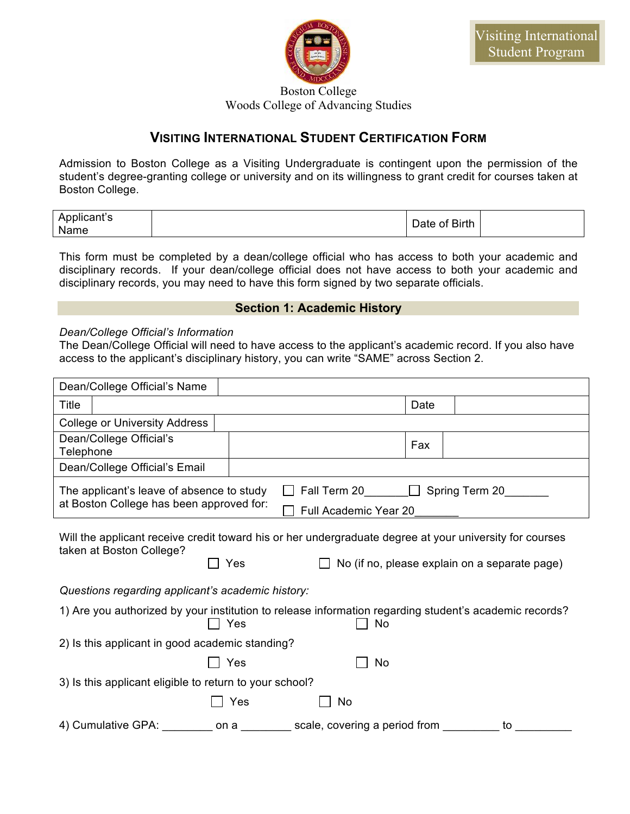

Boston College Woods College of Advancing Studies

## **VISITING INTERNATIONAL STUDENT CERTIFICATION FORM**

Admission to Boston College as a Visiting Undergraduate is contingent upon the permission of the student's degree-granting college or university and on its willingness to grant credit for courses taken at Boston College.

| Applicant's<br>Name | Date of Birth |  |
|---------------------|---------------|--|
|---------------------|---------------|--|

This form must be completed by a dean/college official who has access to both your academic and disciplinary records. If your dean/college official does not have access to both your academic and disciplinary records, you may need to have this form signed by two separate officials.

## **Section 1: Academic History**

## *Dean/College Official's Information*

The Dean/College Official will need to have access to the applicant's academic record. If you also have access to the applicant's disciplinary history, you can write "SAME" across Section 2.

|           | Dean/College Official's Name                                                                                                        |      |                                       |      |                                               |
|-----------|-------------------------------------------------------------------------------------------------------------------------------------|------|---------------------------------------|------|-----------------------------------------------|
| Title     |                                                                                                                                     |      |                                       | Date |                                               |
|           | <b>College or University Address</b>                                                                                                |      |                                       |      |                                               |
| Telephone | Dean/College Official's                                                                                                             |      |                                       | Fax  |                                               |
|           | Dean/College Official's Email                                                                                                       |      |                                       |      |                                               |
|           | The applicant's leave of absence to study<br>at Boston College has been approved for:                                               |      | Fall Term 20<br>Full Academic Year 20 |      | $\Box$ Spring Term 20                         |
|           | Will the applicant receive credit toward his or her undergraduate degree at your university for courses<br>taken at Boston College? | Yes  |                                       |      | No (if no, please explain on a separate page) |
|           | Questions regarding applicant's academic history:                                                                                   |      |                                       |      |                                               |
|           | 1) Are you authorized by your institution to release information regarding student's academic records?                              | Yes  | <b>No</b>                             |      |                                               |
|           | 2) Is this applicant in good academic standing?                                                                                     |      |                                       |      |                                               |
|           |                                                                                                                                     | Yes  | <b>No</b>                             |      |                                               |
|           | 3) Is this applicant eligible to return to your school?                                                                             |      |                                       |      |                                               |
|           |                                                                                                                                     | Yes  | No                                    |      |                                               |
|           | 4) Cumulative GPA:                                                                                                                  | on a | scale, covering a period from         |      | to                                            |